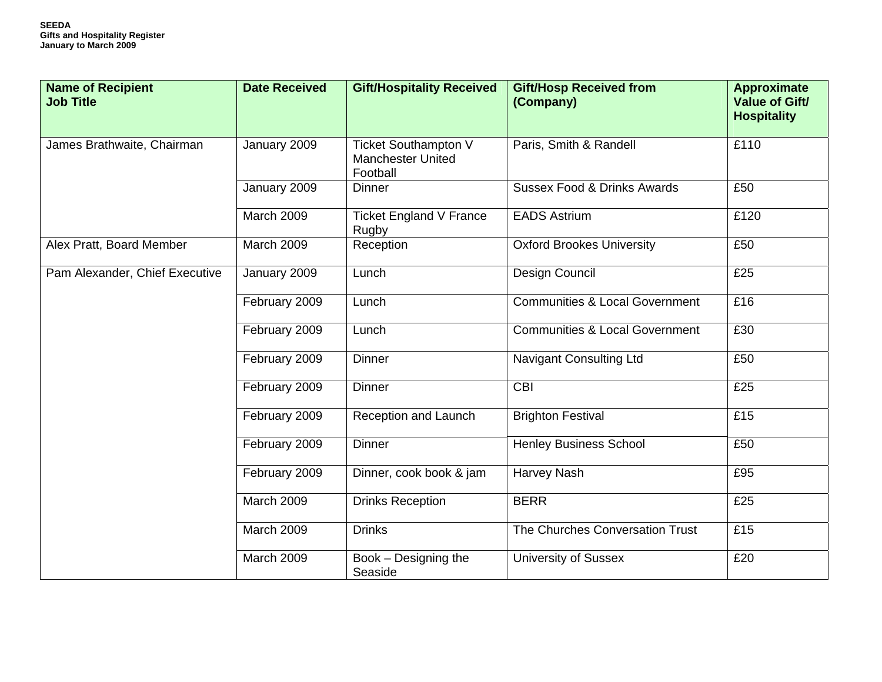| <b>Name of Recipient</b><br><b>Job Title</b> | <b>Date Received</b> | <b>Gift/Hospitality Received</b>                                    | <b>Gift/Hosp Received from</b><br>(Company) | <b>Approximate</b><br>Value of Gift/<br><b>Hospitality</b> |
|----------------------------------------------|----------------------|---------------------------------------------------------------------|---------------------------------------------|------------------------------------------------------------|
| James Brathwaite, Chairman                   | January 2009         | <b>Ticket Southampton V</b><br><b>Manchester United</b><br>Football | Paris, Smith & Randell                      | £110                                                       |
|                                              | January 2009         | <b>Dinner</b>                                                       | <b>Sussex Food &amp; Drinks Awards</b>      | £50                                                        |
|                                              | <b>March 2009</b>    | Ticket England V France<br>Rugby                                    | <b>EADS Astrium</b>                         | £120                                                       |
| Alex Pratt, Board Member                     | March 2009           | Reception                                                           | <b>Oxford Brookes University</b>            | £50                                                        |
| Pam Alexander, Chief Executive               | January 2009         | Lunch                                                               | Design Council                              | £25                                                        |
|                                              | February 2009        | Lunch                                                               | <b>Communities &amp; Local Government</b>   | £16                                                        |
|                                              | February 2009        | Lunch                                                               | <b>Communities &amp; Local Government</b>   | £30                                                        |
|                                              | February 2009        | <b>Dinner</b>                                                       | Navigant Consulting Ltd                     | £50                                                        |
|                                              | February 2009        | <b>Dinner</b>                                                       | $\overline{CBI}$                            | £25                                                        |
|                                              | February 2009        | Reception and Launch                                                | <b>Brighton Festival</b>                    | £15                                                        |
|                                              | February 2009        | Dinner                                                              | <b>Henley Business School</b>               | £50                                                        |
|                                              | February 2009        | Dinner, cook book & jam                                             | Harvey Nash                                 | £95                                                        |
|                                              | March 2009           | <b>Drinks Reception</b>                                             | <b>BERR</b>                                 | £25                                                        |
|                                              | March 2009           | <b>Drinks</b>                                                       | The Churches Conversation Trust             | £15                                                        |
|                                              | March 2009           | Book - Designing the<br>Seaside                                     | <b>University of Sussex</b>                 | £20                                                        |